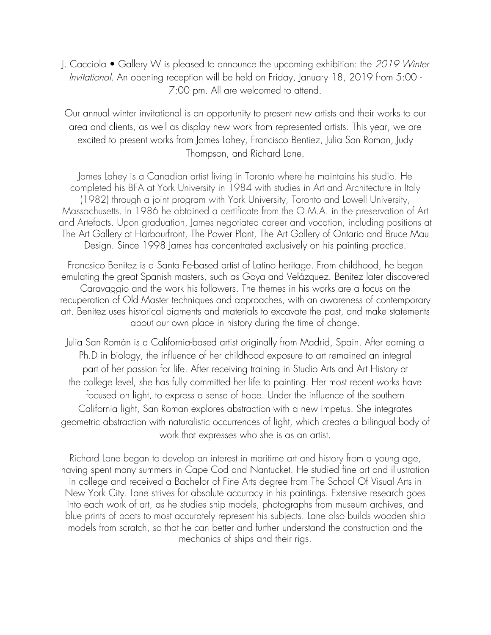J. Cacciola • Gallery W is pleased to announce the upcoming exhibition: the 2019 Winter Invitational. An opening reception will be held on Friday, January 18, 2019 from 5:00 - 7:00 pm. All are welcomed to attend.

Our annual winter invitational is an opportunity to present new artists and their works to our area and clients, as well as display new work from represented artists. This year, we are excited to present works from James Lahey, Francisco Bentiez, Julia San Roman, Judy Thompson, and Richard Lane.

James Lahey is a Canadian artist living in Toronto where he maintains his studio. He completed his BFA at York University in 1984 with studies in Art and Architecture in Italy (1982) through a joint program with York University, Toronto and Lowell University, Massachusetts. In 1986 he obtained a certificate from the O.M.A. in the preservation of Art and Artefacts. Upon graduation, James negotiated career and vocation, including positions at The Art Gallery at Harbourfront, The Power Plant, The Art Gallery of Ontario and Bruce Mau Design. Since 1998 James has concentrated exclusively on his painting practice.

Francsico Benitez is a Santa Fe-based artist of Latino heritage. From childhood, he began emulating the great Spanish masters, such as Goya and Velázquez. Benitez later discovered Caravaggio and the work his followers. The themes in his works are a focus on the recuperation of Old Master techniques and approaches, with an awareness of contemporary art. Benitez uses historical pigments and materials to excavate the past, and make statements about our own place in history during the time of change.

Julia San Román is a California-based artist originally from Madrid, Spain. After earning a Ph.D in biology, the influence of her childhood exposure to art remained an integral part of her passion for life. After receiving training in Studio Arts and Art History at the college level, she has fully committed her life to painting. Her most recent works have focused on light, to express a sense of hope. Under the influence of the southern California light, San Roman explores abstraction with a new impetus. She integrates geometric abstraction with naturalistic occurrences of light, which creates a bilingual body of work that expresses who she is as an artist.

Richard Lane began to develop an interest in maritime art and history from a young age, having spent many summers in Cape Cod and Nantucket. He studied fine art and illustration in college and received a Bachelor of Fine Arts degree from The School Of Visual Arts in New York City. Lane strives for absolute accuracy in his paintings. Extensive research goes into each work of art, as he studies ship models, photographs from museum archives, and blue prints of boats to most accurately represent his subjects. Lane also builds wooden ship models from scratch, so that he can better and further understand the construction and the mechanics of ships and their rigs.